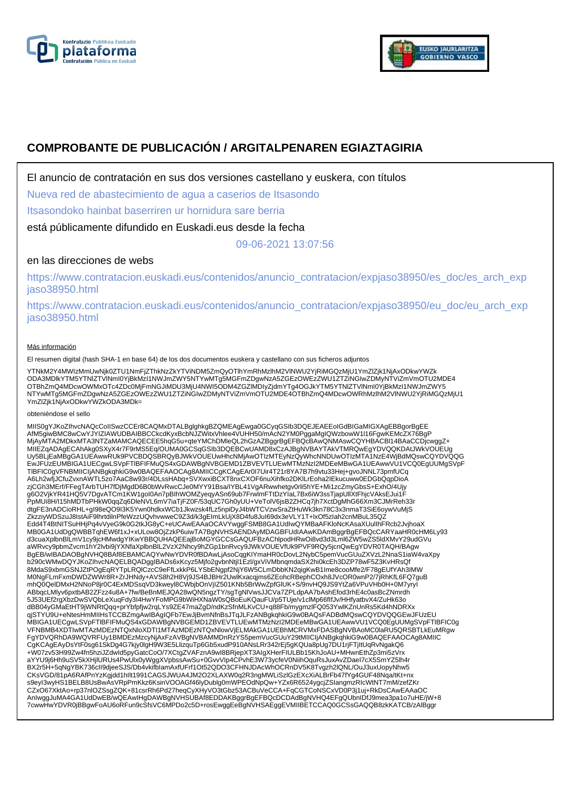



# **COMPROBANTE DE PUBLICACIÓN / ARGITALPENAREN EGIAZTAGIRIA**

El anuncio de contratación en sus dos versiones castellano y euskera, con títulos

Nueva red de abastecimiento de agua a caserios de Itsasondo

Itsasondoko hainbat baserriren ur hornidura sare berria

está públicamente difundido en Euskadi.eus desde la fecha

09-06-2021 13:07:56

## en las direcciones de webs

https://www.contratacion.euskadi.eus/contenidos/anuncio\_contratacion/expjaso38950/es\_doc/es\_arch\_exp jaso38950.html

https://www.contratacion.euskadi.eus/contenidos/anuncio\_contratacion/expjaso38950/eu\_doc/eu\_arch\_exp jaso38950.html

### Más información

El resumen digital (hash SHA-1 en base 64) de los dos documentos euskera y castellano con sus ficheros adjuntos

YTNkM2Y4MWIzMmUwNjk0ZTU1NmFjZThkNzZkYTViNDM5ZmQyOTlhYmRhMzlhM2VlNWU2YjRiMGQzMjU1YmZlZjk1NjAxODkwYWZk<br>ODA3MDlkYTM5YTNIZTVlNmI0YjBkMzI1NWJmZWY5NTYwMTg5MGFmZDgwNzA5ZGEzOWEzZWU1ZTZiNGIwZDMyNTViZmVmOTU2MDE4 OTBhZmQ4MDcwOWMxOTc4ZDc0MjFmNGJiMDU3MjU4NWI5ODM4ZGZIMDIyZjdmYTg4OGJkYTM5YTNIZTVINmI0YjBkMzI1NWJmZWY5<br>NTYwMTg5MGFmZDgwNzA5ZGEzOWEzZWU1ZTZiNGIwZDMyNTViZmVmOTU2MDE4OTBhZmQ4MDcwOWRhMzlhM2VINWU2YjRiMGQzMjU1 YmZlZjk1NjAxODkwYWZkODA3MDk=

#### obteniéndose el sello

MIIS0gYJKoZIhvcNAQcCoIISwzCCEr8CAQMxDTALBglghkgBZQMEAgEwga0GCyqGSIb3DQEJEAEEoIGdBIGaMIGXAgEBBgorBgEE<br>AfM5giwBMC8wCwYJYIZIAWUDBAIBBCCkcdKyxBcbNJZWitxVhlee4VUHH50/mAcN2YM0PggaMgIQWzbowW1I16FgwKEMcZX76BgP MjAyMTA2MDkxMTA3NTZaMAMCAQECEE5hqG5u+qteYMChDMleQL2hGzAZBggrBgEFBQcBAwQNMAswCQYHBACBl14BAaCCDjcwggZ+ MIIEZqADAgECAhAkg0SXyX4r7F9rMS5Eq/OUMA0GCSqGSIb3DQEBCwUAMD8xCzAJBgNVBAYTAkVTMRQwEgYDVQQKDAtJWkVOUEUg Uy5BLjEaMBgGA1UEAwwRUk9PVCBDQSBRQyBJWkVOUEUwHhcNMjAwOTIzMTEyNzQyWhcNNDUwOTIzMTA1NzE4WjBdMQswCQYDVQQG EwJFUzEUMBIGA1UECgwLSVpFTlBFIFMuQS4xGDAWBgNVBGEMD1ZBVEVTLUEwMTMzNzI2MDEeMBwGA1UEAwwVU1VCQ0EgUUMgSVpF TlBFIC0gVFNBMIICIjANBgkqhkiG9w0BAQEFAAOCAg8AMIICCgKCAgEAr0I7Uir4T21r8YA7B7h9vtu33Hej+gvoJNNL73pmfUCq A6Lh2wfjJCfuZvxnAWTL5zo7AaC8w93r/4DLssHAbq+SVXwxiBCXT8nxCXOF6nuXihfko2DKlLrEoha2IEkucuww0EDGbQqpDioA zjCGh3MErf/FFegTArbTUH7fDjMgdD6B0bWvRwcCJe0MYY91Bsa/IYBL41VgARwwhetgv0rli5hYE+Mi1zcZmyGbsS+ExhO/4Ujy g6O2VjkYR41HQ5V7DgvATCm1KW1goI0An7pBIhWOMZyeqyASn69ub7FrwlmFTtDzYIaL7Bx6iW3ssTjapUllXtFhjcVAksEJui1F<br>PpMUi8H/I15hMDTbPHkW0qqZq6DleNVL6mV7iaTjFZ0F/53qUC7Gh0yUU+VeTolV6jsB2ZHCq7jh7XctDgMhG66Xm3CJMrReh33r dtgFE3nADCioRHL+gI98eQO9I3K5Ywn0hdkxWCb1Jkwzsk4fLz5npiDyJ4bWTCVzwSraZtHuWk3kn78C3x3nmaT3SiE6oywVuMjS ZkzziyWDSzuJ8IstAiF9lhrtdilnPfeWzzUQvhvwweC9Z3d/k3gEImLkUjX8D4fu8JuI69dx3eVLY1T+lxOf5zIah2cnMBuL35QZ Edd4T4BtNITSuHHjPq4vVyeG9k0G2tkJG8yC+eUCAwEAAaOCAVYwggFSMB8GA1UdIwQYMBaAFKloNcKAsaXUulIhFRcb2JvjhoaX MB0GA1UdDgQWBBTqhEW6f1xJ+xULow8OjZzkP6uiwTA7BgNVHSAENDAyMDAGBFUdIAAwKDAmBggrBgEFBQcCARYaaHR0cHM6Ly93<br>d3cuaXplbnBlLmV1cy9jcHMwdgYIKwYBBQUHAQEEajBoMGYGCCsGAQUFBzAChlpodHRwOi8vd3d3Lml6ZW5wZS5ldXMvY29udGVu aWRvcy9pbmZvcm1hY2lvbi9jYXNfaXplbnBlL2VzX2Nhcy9hZGp1bnRvcy9JWkVOUEVfUk9PVF9RQy5jcnQwEgYDVR0TAQH/BAgw<br>BgEB/wIBADAOBgNVHQ8BAf8EBAMCAQYwNwYDVR0fBDAwLjAsoCqgKIYmaHR0cDovL2NybC5pemVucGUuZXVzL2NnaS1iaW4vaXpy b290cWMwDQYJKoZIhvcNAQELBQADggIBADs6xKcyz5Mjfo2gvbnNtjl1Ezl/gxViVMbnqmdaSX2hi0kcEh3DZP78wF5Z3KvHRsQf 8MdaS9xbmGSNJZtPOgEqRYTpLRQlCzcC9eFfLxkkP6LYSbENgpf2NjY6W5CLmDbbKN2qigKwB1Ime8cooMfe2/F78gEUfYAh3IMW M0NgFLmFxmDWDZWWr8R+ZrJHNdy+AVS8h2H8Vj9JS4BJBHr2UwlKxacqjms6ZEohcRBephCOxh8JVcOR0wnP2/7jRhKfL6FQ7guB mhQ0QelDMxH2NNoP8jr0C4ExMDSsqVD3kweyl8CWbjbOnVjIZ501KNb5BrWwZpfGlUK+S/9nvHQ9JS9YtZa6VPuVHb0H+0M7yryI ABbqcLMlyv6pxtbAB2ZFzz4u8A+7fw/BeBnMEJQA28wQN5ngzTY/sgTgNlVwsJJCVa7ZPLdpAA7bAshEfod3rhE4c0asBcZNmrdh<br>5J53UEf2rgXbzDwSVQbLeXuqFdy3I4HwYFoMPG9bWiHXNaW0sQBoEuKQauFU/p5TUje/v1clMp66flfJv/HHfyatbvX4/ZuHk63o dBB04yGMaEtHT9jWNRtQqq+prYbfpfjw2rqLYs9ZE47maZgD/ndKzSfnMLKvCU+q88Fb/mygmzlFQ053YwlKZnUnRs5Kd4hNDRXx<br>qjSTYU9U+eNtesHmMIIHsTCCBZmgAwIBAgIQFb7EwJjBvmNfnBsJTqJLFzANBgkqhkiG9w0BAQsFADBdMQswCQYDVQQGEwJFUzEU MBIGA1UECgwLSVpFTlBFIFMuQS4xGDAWBgNVBGEMD1ZBVEVTLUEwMTMzNzI2MDEeMBwGA1UEAwwVU1VCQ0EgUUMgSVpFTlBFIC0g VFNBMB4XDTIwMTAzMDEzNTQxNloXDTI1MTAzMDEzNTQxNlowVjELMAkGA1UEBhMCRVMxFDASBgNVBAoMC0laRU5QRSBTLkEuMRgw FgYDVQRhDA9WQVRFUy1BMDEzMzcyNjAxFzAVBgNVBAMMDnRzYS5pemVucGUuY29tMIICIjANBgkqhkiG9w0BAQEFAAOCAg8AMIIC CgKCAgEAyDsYtF0sg61SkDg4G7kjy0lgH9W3E5LlizquTp6Gb5xudP910ANsLRr342rEj5gKQUa8pUg7DU1rjFTjItUqRvNgakQ6 +W07zv53H99Zw4fn5hziJZdwId5pyGatcCoO/7XCtgZVAFznA9wI8BRjepXT3AIgXHerFIULBb15KhJoAU+MHwnEthZp3mi5zVrx aYYU9j6Hh9uSV5kXHjlURUs4PwUlx0yWggXVpbssAwSu+0GvvVIp4CPvhE3W73ycfeV0NiihOquRsJuxAvZDaeI7cX5SmYZ5lh4r BX2r5H+5qNgYBK736cII9djeeSJS/Db4vkifbIamAxfUFrf1Ot52QDO3CFHNJDAcWhOCRnDV5K8Tvgzh2lQNL/OuJ3uxUopyNhw5<br>CKsVGD/81pA6RAfPnYzKgjdd1hllt1991CAGSJWUA4JM2O2XLAXW0q2R3ngMWLiSzlGzEXcXiALBrFb47fYg4GUF48Nqa/tKt+nx s9eyI3wyHS1BELB8UsBwAsVRpPmKkz6KsinVOOAGf46IyDubIg0mWPEOdNpQw+YZx6R6524ygcjZSIangmzRIcWtNT7mM/zefZKr<br>CZxO67XktAo+rp37nlOZSsgZQK+81csrRh6Pd27heqCyXHyVO3tGbz53ACBuVeCCA+FqCGTCoNSCxVD0P3j1uj+RkDsCAwEAAaOC AnIwggJuMA4GA1UdDwEB/wQEAwIHgDAWBgNVHSUBAf8EDDAKBggrBgEFBQcDCDAdBgNVHQ4EFgQUbnIDfJ9mea3pa1o7uHE/jW+8 7cwwHwYDVR0jBBgwFoAU6oRFun9cSfsVC6MPDo2c5D+rosEwggEeBgNVHSAEggEVMIIBETCCAQ0GCSsGAQQB8zkKATCB/zAlBggr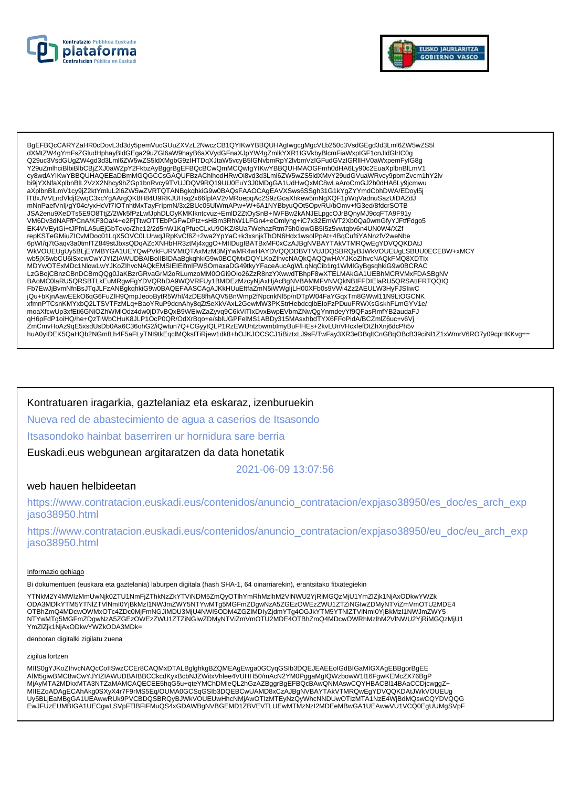



BgEFBQcCARYZaHR0cDovL3d3dy5pemVucGUuZXVzL2NwczCB1QYIKwYBBQUHAgIwgcgMgcVLb250c3VsdGEgd3d3Lml6ZW5wZS5I<br>dXMtZW4gYmFsZGludHphayBldGEga29uZGl6aW9hayB6aXVydGFnaXJpYW4gZmlkYXR1IGVkbyBlcmFiaWxplGF1cnJldGlrlC0g Q29uc3VsdGUgZW4gd3d3Lml6ZW5wZS5ldXMgbG9zIHTDqXJtaW5vcyB5lGNvbmRpY2lvbmVzIGFudGVzIGRIIHV0aWxpemFyIG8g Y29uZmlhciBlbiBlbCBjZXJ0aWZpY2FkbzAyBggrBgEFBQcBCwQmMCQwlgYlKwYBBQUHMAOGFmh0dHA6Ly90c2EuaXplbnBlLmV1 cy8wdAYIKwYBBQUHAQEEaDBmMGQGCCsGAQUFBzAChlhodHRwOi8vd3d3Lml6ZW5wZS5ldXMvY29udGVuaWRvcy9pbmZvcm1hY2lv bi9jYXNfaXplbnBlL2VzX2Nhcy9hZGp1bnRvcy9TVUJDQV9RQ19UU0EuY3J0MDgGA1UdHwQxMC8wLaAroCmGJ2h0dHA6Ly9jcmwu aXplbnBlLmV1cy9jZ2ktYmluL2l6ZW5wZVRTQTANBgkqhkiG9w0BAQsFAAOCAgEAVXSws6SSgh31G1kYgZYYmdCbhDWA/EDoyl5j IT8xJVVLndVldjI2wqC3xcYgAArgQK8H84U9RKJUHsq2x66fplAV2vMRoepqAc2S9zGcaXhkew5mNgXQF1pWqVadnuSazUiDAZdJ mNnPaefVnlj/gY04c/yxHcVf7IOTnhtMxTayFrlpmN/3x2BUc05UIWmAPw+W+6A1NYBbyuQOt5OpvRU/bOmv+fG3ed/8fdcrSOTB The CONTROL OF CONTROL CONTROL CONTROL CONTROL CONTROL CONTROL CONTROL CONTROL CONTROL CONTROL CONTROL CONTROL<br>JSA2enu9XeDTs5E9O8TtiZ/2Wk5fPzLwUphDLOyKMKIkntcvuz+EmiD2ZtOySnB+IWFBw2kANJELpgcOJrBQnyMJ9cqFTA9F91y UM6Dv3dNAFfPCnA/KF3Oa/4+e2PjTtwOTTEbPGFwDPtz+sHBm3RhW1LFGn4+eOmlyhg+iC7x32EmWT2Xb0Qa0wmGfyYJFtfFdgo5<br>EK4VVEytGi+tJPfnLA5uEjGbTovo/Zhc12/2d5nW1KqPfueCLxU9OKZ/8Ua7WehazRtm75h0iowGB5I5z5vwtqbv6n4UN0W4/XZf repKSTeGMiuZICvMDoc01LqX5OVC0LUrwqJRpKvCf6Z+2wa2YpYaC+k3xsnjkThON6Hdx1wsolPpAt+4BqCuftiYANnzfV2weNbe 6pWl/q7tGaqv3a0tmfTZ849stJbxsQDqAZcXNHbHR3ztMj4xggO+MIIDugIBATBxMF0xCzAJBgNVBAYTAkVTMRQwEgYDVQQKDAtJ WKVOUEUgUy5BLJEYMBYGA1UEYQwPVkFURVMtQTAxMzM3MjYwMR4wHAYDVQQDDBVTVUJDQSBRQyBJWKVOUEUgLSBUU0ECEBW+xMCY wb5jX5wbCU6iSxcwCwYJYIZIAWUDBAIBoIIBIDAaBgkqhkiG9w0BCQMxDQYLKoZIhvcNAQkQAQQwHAYJKoZIhvcNAQkFMQ8XDTlx wojkowodowodowany in zakonowanionalne na powstanowany w przez miestopania w przez wielka powstanowany w przez<br>MDYwOTExMDc1NlowLwYJKoZlhvcNAQkEMSIEIEifmlFWSOmaxaDG49tkyYFaceAucAgWLqNqCib1rg1WMIGyBgsqhkiG9w0BCRAC<br>LzGBojCBnzC BAoMC0laRU5QRSBTLkEuMRgwFgYDVQRhDA9WQVRFUy1BMDEzMzcyNjAxHjAcBgNVBAMMFVNVQkNBIFFDIElaRU5QRSAtIFRTQQIQ Fb7EwJjBvmNfnBsJTqJLFzANBgkqnkiG9w0BAQEFAASCAgAJKkHUuEftfaZmN5iWWgIjLH00XFb0s9VWi4Zz2AEULW3HyFJSIiwC jQu+bKjnAawEEkO6qG6FuZlH9QmpJeooBytR5Whl/4zDE8fhAQV5BnWmp2fNpcnkNl5p/nDTpW04FaYGqxTm8GWwl11N9LtOGCNK xfmnPTCsnKMYxbQ2LTSVTFzMLq+BaoYRuP9dcnAhy8qZt5eXkVAxL2GewMW3PKStrHebdcqlbEloFzPDuuFRWXsGskhFLmGYV1e/ moaXfcwUp3xfEti6GNiOZhWMlOdz4dw0jD7vBQxB9WEiwZaZyvq9C6kViTlxDvxBwpEVbmZNwQgYnmdeyYf9QFasRmfYB2audaFJ qH6pFdP1oiHQ/he+QzTiWbCHuK8JLP1OcP0QR/OdXrBqo+e/sblUGPFelMS1ABDy315MAsxhbdTYX6FFoPidA/BCZmlZ6uc+v6Vj чпортаг топпалле+аг пуюслагоды. гослодклоомарара-изионог тешко нарузтолимаялын т логтопальносиписовствую у пос<br>2mCmvHoAz9qE5xsdUsDb0Aa6C36ohG2/iQwtun7Q+CGyytQLP1RzEWUhtzbwmblmyBuFfHEs+2kvLUnVHcxfefDtZhXnj6dcPh5v<br>huA0yIDE

Kontratuaren iragarkia, gaztelaniaz eta eskaraz, izenburuekin Nueva red de abastecimiento de agua a caserios de Itsasondo Itsasondoko hainbat baserriren ur hornidura sare berria Euskadi.eus webgunean argitaratzen da data honetatik

2021-06-09 13:07:56

## web hauen helbideetan

https://www.contratacion.euskadi.eus/contenidos/anuncio\_contratacion/expjaso38950/es\_doc/es\_arch\_exp jaso38950.html

https://www.contratacion.euskadi.eus/contenidos/anuncio\_contratacion/expjaso38950/eu\_doc/eu\_arch\_exp iaso38950.html

#### Informazio gehiago

Bi dokumentuen (euskara eta gaztelania) laburpen digitala (hash SHA-1, 64 oinarriarekin), erantsitako fitxategiekin

YTNkM2Y4MWIzMmUwNik0ZTU1NmFiZThkNzZkYTViNDM5ZmQyOTlhYmRhMzlhM2VINWU2YjRiMGQzMjU1YmZlZjk1NjAxODkwYWZk NTYwMTg5MGFmZDgwNzA5ZGEzOWEzZWU1ZTZiNGIwZDMyNTViZmVmOTU2MDE4OTBhZmQ4MDcwOWRhMzlhM2VINWU2YjRiMGQzMjU1 YmZlZjk1NjAxODkwYWZkODA3MDk=

denboran digitalki zigilatu zuena

zigilua lortzen

MIIS0gYJKoZIhvcNAQcCoIISwzCCEr8CAQMxDTALBgIghkgBZQMEAgEwga0GCyqGSIb3DQEJEAEEoIGdBIGaMIGXAgEBBgorBgEE AfM5giwBMC8wCwYJYIZIAWUDBAIBBCCkcdKyxBcbNJZWitxVhlee4VUHH50/mAcN2YM0PggaMgIQWzbowW1I16FgwKEMcZX76BgF MjAyMTA2MDkxMTA3NTZaMAMCAQECEE5hqG5u+qteYMChDMleQL2hGzAZBggrBgEFBQcBAwQNMAswCQYHBACBI14BAaCCDjcwggZ+ MIIEZqADAgECAhAkg0SXyX4r7F9rMS5Eq/OUMA0GCSqGSIb3DQEBCwUAMD8xCzAJBgNVBAYTAkVTMRQwEgYDVQQKDAtJWkVOUEUg<br>Uy5BLjEaMBgGA1UEAwwRUk9PVCBDQSBRQyBJWkVOUEUwHhcNMjAwOTIzMTEyNzQyWhcNNDUwOTIzMTA1NzE4WjBdMQswCQYDVQQG EwJFUzEUMBIGA1UECgwLSVpFTIBFIFMuQS4xGDAWBgNVBGEMD1ZBVEVTLUEwMTMzNzI2MDEeMBwGA1UEAwwVU1VCQ0EgUUMgSVpF